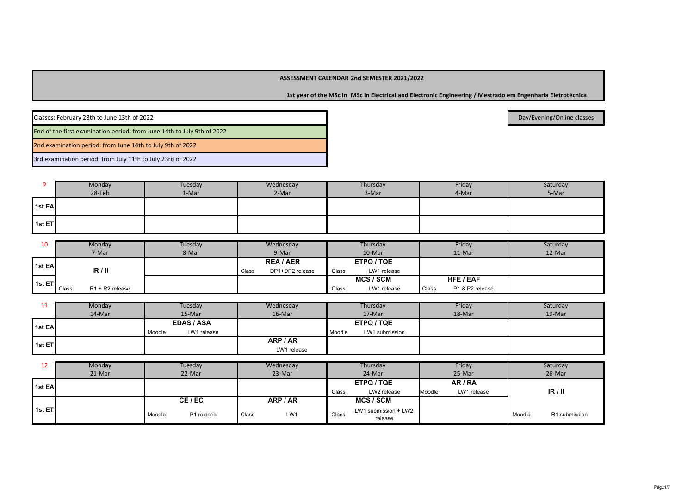**1st year of the MSc in MSc in Electrical and Electronic Engineering / Mestrado em Engenharia Eletrotécnica**

Classes: February 28th to June 13th of 2022End of the first examination period: from June 14th to July 9th of 20222nd examination period: from June 14th to July 9th of 2022

3rd examination period: from July 11th to July 23rd of 2022

|        | Monday<br>28-Feb | Tuesday<br>1-Mar | Wednesday<br>2-Mar | Thursday<br>3-Mar | Friday<br>4-Mar | Saturday<br>5-Mar |
|--------|------------------|------------------|--------------------|-------------------|-----------------|-------------------|
| 1st EA |                  |                  |                    |                   |                 |                   |
| 1st ET |                  |                  |                    |                   |                 |                   |

| 10      | Monday                   | Tuesday | Wednesday                | Thursday             | Friday                          | Saturday |
|---------|--------------------------|---------|--------------------------|----------------------|---------------------------------|----------|
|         | 7-Mar                    | 8-Mar   | 9-Mar                    | 10-Mar               | 11-Mar                          | 12-Mar   |
| 1st EAI |                          |         | <b>REA/AER</b>           | ETPQ / TQE           |                                 |          |
|         | IR/II                    |         | DP1+DP2 release<br>Class | LW1 release<br>Class |                                 |          |
| 1st ET  |                          |         |                          | <b>MCS/SCM</b>       | HFE / EAF                       |          |
|         | R1 + R2 release<br>Class |         |                          | LW1 release<br>Class | P1 & P2 release<br><b>Class</b> |          |

| . .                 | Monday | Tuesday               | Wednesday   | Thursday                 | Friday | Saturday |
|---------------------|--------|-----------------------|-------------|--------------------------|--------|----------|
|                     | 14-Mar | 15-Mar                | 16-Mar      | 17-Mar                   | 18-Mar | 19-Mar   |
| 1 <sub>1st</sub> EA |        | <b>EDAS / ASA</b>     |             | ETPQ / TQE               |        |          |
|                     |        | LW1 release<br>Moodle |             | LW1 submission<br>Moodle |        |          |
| 1st ET              |        |                       | ARP / AR    |                          |        |          |
|                     |        |                       | LW1 release |                          |        |          |

| 12                  | Monday | Tuesday              |       | Wednesday |       | Thursday                        |        | Friday      |        | Saturday      |
|---------------------|--------|----------------------|-------|-----------|-------|---------------------------------|--------|-------------|--------|---------------|
|                     | 21-Mar | 22-Mar               |       | 23-Mar    |       | 24-Mar                          |        | 25-Mar      |        | 26-Mar        |
| 1 <sub>1st</sub> EA |        |                      |       |           |       | ETPQ / TQE                      |        | AR / RA     |        |               |
|                     |        |                      |       |           | Class | LW2 release                     | Moodle | LW1 release |        | IR/II         |
|                     |        | CE/EC                |       | ARP / AR  |       | <b>MCS/SCM</b>                  |        |             |        |               |
| 1st ET              |        | P1 release<br>Moodle | Class | LW1       | Class | LW1 submission + LW2<br>release |        |             | Moodle | R1 submission |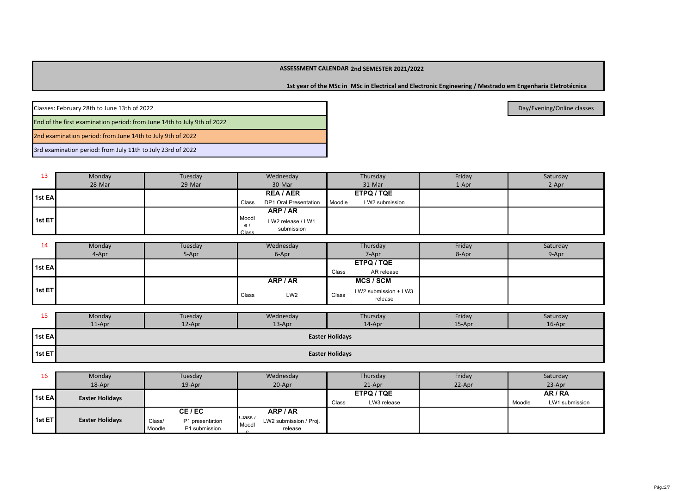**1st year of the MSc in MSc in Electrical and Electronic Engineering / Mestrado em Engenharia Eletrotécnica**

| Classes: February 28th to June 13th of 2022                             |
|-------------------------------------------------------------------------|
| End of the first examination period: from June 14th to July 9th of 2022 |
| 2nd examination period: from June 14th to July 9th of 2022              |

3rd examination period: from July 11th to July 23rd of 2022

13Class DP1 Oral Presentation Moodle LW2 submission Moodle / ClassLW2 release / LW1 submission**ETPQ / TQE**LW2 submission **Wednesday** 28-Mar 29-Mar 29-Mar 20-Mar 30-Mar Monday **Notage Monday** 29-Mar Thursday  $31-Mar$  1-Apr 2-Apr Friday **Saturday REA / AER1st ET1st EAARP / AR**

| 14         | Monday | Tuesday | Wednesday                | Thursday                                 | Friday | Saturday |
|------------|--------|---------|--------------------------|------------------------------------------|--------|----------|
|            | 4-Apr  | 5-Apr   | 6-Apr                    | 7-Apr                                    | 8-Apr  | 9-Apr    |
| 1st EA     |        |         |                          | ETPQ / TQE                               |        |          |
|            |        |         |                          | AR release<br>Class                      |        |          |
|            |        |         | ARP / AR                 | <b>MCS/SCM</b>                           |        |          |
| l 1st ET l |        |         | LW <sub>2</sub><br>Class | LW2 submission + LW3<br>Class<br>release |        |          |

| ້      | Monday | Tuesday | Wednesday | Thursday               | Friday | Saturday |
|--------|--------|---------|-----------|------------------------|--------|----------|
|        | 11-Apr | 12-Apr  | 13-Apr    | $14$ -Apr              | 15-Apr | 16-Apr   |
| 1st EA |        |         |           | <b>Easter Holidays</b> |        |          |
| 1st ET |        |         |           | <b>Easter Holidays</b> |        |          |

| 16             | Monday                 | Tuesday                                              | Wednesday                                             | Thursday             | Friday | Saturday                 |
|----------------|------------------------|------------------------------------------------------|-------------------------------------------------------|----------------------|--------|--------------------------|
|                | 18-Apr                 | $19$ -Apr                                            | 20-Apr                                                | $21$ -Apr            | 22-Apr | 23-Apr                   |
| <b>1st EAI</b> | <b>Easter Holidays</b> |                                                      |                                                       | ETPQ / TQE           |        | AR / RA                  |
|                |                        |                                                      |                                                       | LW3 release<br>Class |        | Moodle<br>LW1 submission |
|                |                        | CE/EC                                                | ARP / AR                                              |                      |        |                          |
| 1st ET         | <b>Easter Holidays</b> | Class/<br>P1 presentation<br>Moodle<br>P1 submission | Class /<br>LW2 submission / Proj.<br>Moodl<br>release |                      |        |                          |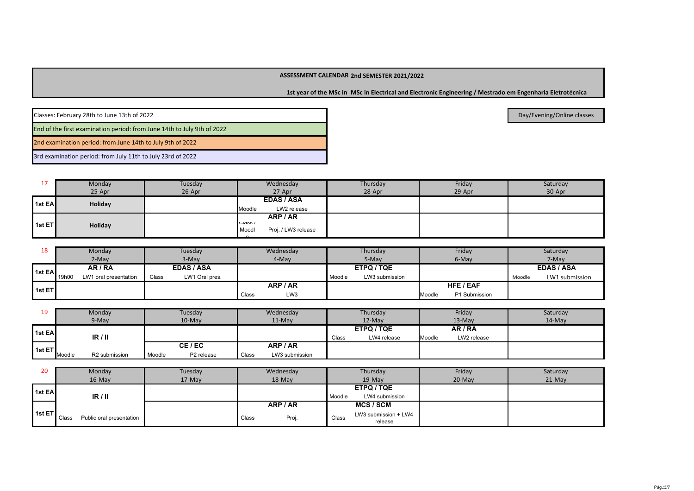**1st year of the MSc in MSc in Electrical and Electronic Engineering / Mestrado em Engenharia Eletrotécnica**

| Classes: February 28th to June 13th of 2022                             |
|-------------------------------------------------------------------------|
| End of the first examination period: from June 14th to July 9th of 2022 |
| 2nd examination period: from June 14th to July 9th of 2022              |

3rd examination period: from July 11th to July 23rd of 2022

|                | Monday  | Tuesday | Wednesday                               | Thursday | Friday | Saturday |
|----------------|---------|---------|-----------------------------------------|----------|--------|----------|
|                | 25-Apr  | 26-Apr  | 27-Apr                                  | 28-Apr   | 29-Apr | 30-Apr   |
| <b>1st EAL</b> | Holiday |         | <b>EDAS / ASA</b>                       |          |        |          |
|                |         |         | LW2 release<br>Moodle                   |          |        |          |
|                |         |         | ARP / AR                                |          |        |          |
| l 1st ET l     | Holiday |         | Ulass /<br>Proj. / LW3 release<br>Moodl |          |        |          |
|                |         |         |                                         |          |        |          |

| 18     | Monday                         | Tuesday                 | Wednesday    | Thursday                 | Friday                  | Saturday                 |
|--------|--------------------------------|-------------------------|--------------|--------------------------|-------------------------|--------------------------|
|        | 2-May                          | 3-May                   | 4-May        | 5-May                    | 6-May                   | 7-May                    |
| 1st EA | AR / RA                        | <b>EDAS / ASA</b>       |              | ETPQ / TQE               |                         | <b>EDAS / ASA</b>        |
|        | 19h00<br>LW1 oral presentation | Class<br>LW1 Oral pres. |              | Moodle<br>LW3 submission |                         | LW1 submission<br>Moodle |
| 1st ET |                                |                         | ARP / AR     |                          | HFE / EAF               |                          |
|        |                                |                         | LW3<br>Class |                          | P1 Submission<br>Moodle |                          |

| 1 Q<br>-- | Monday                  | Tuesday              | Wednesday               | Thursday             | Friday                | Saturday  |
|-----------|-------------------------|----------------------|-------------------------|----------------------|-----------------------|-----------|
|           | 9-May                   | $10-Mav$             | $11-Mav$                | 12-May               | 13-May                | $14$ -May |
| 1st EA    |                         |                      |                         | ETPQ / TQE           | AR / RA               |           |
|           | IR/II                   |                      |                         | LW4 release<br>Class | LW2 release<br>Moodle |           |
| 1st ET    |                         | CE/EC                | ARP / AR                |                      |                       |           |
|           | R2 submission<br>Moodle | Moodle<br>P2 release | Class<br>LW3 submission |                      |                       |           |

| 20             | Monday                                   | Tuesday | Wednesday      | Thursday                                 | Friday   | Saturday |
|----------------|------------------------------------------|---------|----------------|------------------------------------------|----------|----------|
|                | $16$ -May                                | 17-May  | 18-May         | 19-May                                   | $20-May$ | 21-May   |
| <b>1st EAI</b> |                                          |         |                | ETPQ / TQE                               |          |          |
|                | IR/II                                    |         |                | LW4 submission<br>Moodle                 |          |          |
|                |                                          |         | ARP / AR       | <b>MCS/SCM</b>                           |          |          |
| 1st ET         | Public oral presentation<br><b>Class</b> |         | Proj.<br>Class | LW3 submission + LW4<br>Class<br>release |          |          |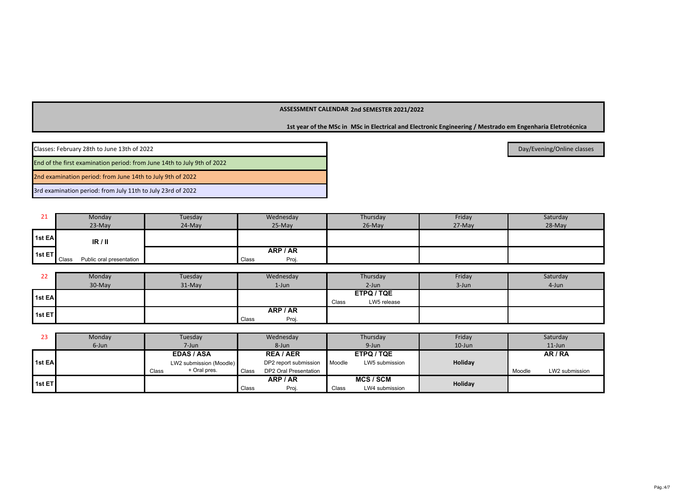**1st year of the MSc in MSc in Electrical and Electronic Engineering / Mestrado em Engenharia Eletrotécnica**

| Classes: February 28th to June 13th of 2022                             |
|-------------------------------------------------------------------------|
| End of the first examination period: from June 14th to July 9th of 2022 |
| 2nd examination period: from June 14th to July 9th of 2022              |
| 3rd examination period: from July 11th to July 23rd of 2022             |

| ᅩ                   | Monday                            | Tuesday  | Wednesday                  | Thursday  | Friday | Saturday |
|---------------------|-----------------------------------|----------|----------------------------|-----------|--------|----------|
|                     | $23-Mav$                          | $24-May$ | $25-Mav$                   | $26$ -May | 27-May | 28-May   |
| 1 <sub>1st</sub> EA | IR/II                             |          |                            |           |        |          |
| $ $ 1st ET          | Public oral presentation<br>Class |          | ARP / AR<br>Proj.<br>Class |           |        |          |

| LL     | Monday | Tuesday | Wednesday      | Thursday             | Friday | Saturday |
|--------|--------|---------|----------------|----------------------|--------|----------|
|        | 30-May | 31-May  | $1$ -Jun       | $2-Jun$              | 3-Jun  | 4-Jun    |
| 1st EA |        |         |                | ETPQ / TQE           |        |          |
|        |        |         |                | LW5 release<br>Class |        |          |
| 1st ET |        |         | ARP / AR       |                      |        |          |
|        |        |         | Proj.<br>Class |                      |        |          |

| 23     | Monday | Tuesday                 | Wednesday                      | Thursday                 | Friday    | Saturday                 |
|--------|--------|-------------------------|--------------------------------|--------------------------|-----------|--------------------------|
|        | 6-Jun  | 7-Jun                   | 8-Jun                          | $9 - Jun$                | $10$ -Jun | $11$ -Jun                |
|        |        | <b>EDAS / ASA</b>       | <b>REA/AER</b>                 | ETPQ / TQE               |           | AR / RA                  |
| 1st EA |        | LW2 submission (Moodle) | DP2 report submission          | LW5 submission<br>Moodle | Holiday   |                          |
|        |        | + Oral pres.<br>Class   | Class<br>DP2 Oral Presentation |                          |           | LW2 submission<br>Moodle |
| 1st ET |        |                         | ARP / AR                       | <b>MCS/SCM</b>           | Holiday   |                          |
|        |        |                         | Class<br>Proj.                 | Class<br>LW4 submission  |           |                          |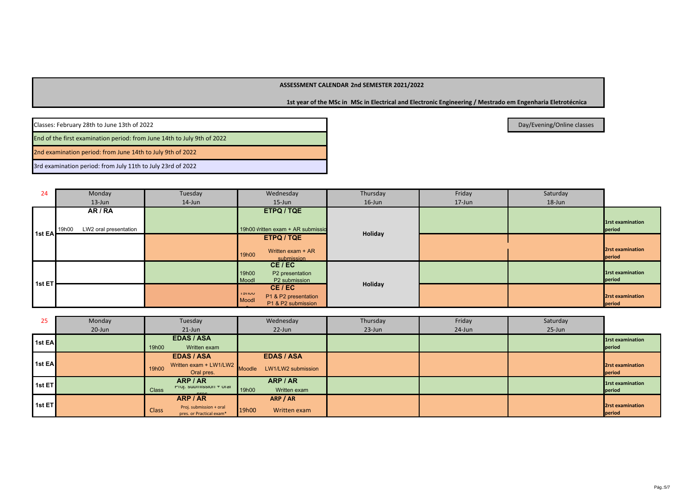**1st year of the MSc in MSc in Electrical and Electronic Engineering / Mestrado em Engenharia Eletrotécnica**

Classes: February 28th to June 13th of 2022

End of the first examination period: from June 14th to July 9th of 2022

2nd examination period: from June 14th to July 9th of 2022

3rd examination period: from July 11th to July 23rd of 2022

| 24     | Monday                         | Tuesday | Wednesday                                                                | Thursday  | Friday | Saturday |                            |
|--------|--------------------------------|---------|--------------------------------------------------------------------------|-----------|--------|----------|----------------------------|
|        | $13$ -Jun                      | 14-Jun  | $15$ -Jun                                                                | $16$ -Jun | 17-Jun | 18-Jun   |                            |
|        | AR / RA                        |         | ETPQ / TQE                                                               |           |        |          |                            |
|        | LW2 oral presentation<br>19h00 |         | 19h00 Vritten exam + AR submissio                                        |           |        |          | 1rst examination<br>period |
| 1st EA |                                |         | ETPQ / TQE                                                               | Holiday   |        |          |                            |
|        |                                |         | Written exam + AR<br>19h00<br>submission                                 |           |        |          | 2rst examination<br>period |
|        |                                |         | CE/EC<br>19h00<br>P2 presentation<br>Moodl<br>P2 submission              |           |        |          | 1rst examination<br>period |
| 1st ET |                                |         | CE/EC<br>י טעוופו<br>P1 & P2 presentation<br>Moodl<br>P1 & P2 submission | Holiday   |        |          | 2rst examination<br>period |

| 25                        | Monday | Tuesday                                                             | Wednesday                    | Thursday | Friday | Saturday |                            |
|---------------------------|--------|---------------------------------------------------------------------|------------------------------|----------|--------|----------|----------------------------|
|                           | 20-Jun | $21$ -Jun                                                           | 22-Jun                       | 23-Jun   | 24-Jun | 25-Jun   |                            |
| 1st EA                    |        | <b>EDAS / ASA</b>                                                   |                              |          |        |          | 1rst examination           |
|                           |        | 19h00<br>Written exam                                               |                              |          |        |          | period                     |
|                           |        | <b>EDAS / ASA</b>                                                   | <b>EDAS / ASA</b>            |          |        |          |                            |
| 1st EA                    |        | Written exam + LW1/LW2<br>19h00<br>Oral pres.                       | LW1/LW2 submission<br>Moodle |          |        |          | 2rst examination<br>period |
| 1stE                      |        | ARP / AR<br>Proj. submission + oral                                 | ARP / AR                     |          |        |          | 1rst examination           |
|                           |        | <b>Class</b><br>proc                                                | 19h00<br>Written exam        |          |        |          | period                     |
|                           |        | ARP / AR                                                            | ARP / AR                     |          |        |          |                            |
| $1$ 1st ET $\overline{ }$ |        | Proj. submission + oral<br><b>Class</b><br>pres. or Practical exam* | 19h00<br>Written exam        |          |        |          | 2rst examination<br>period |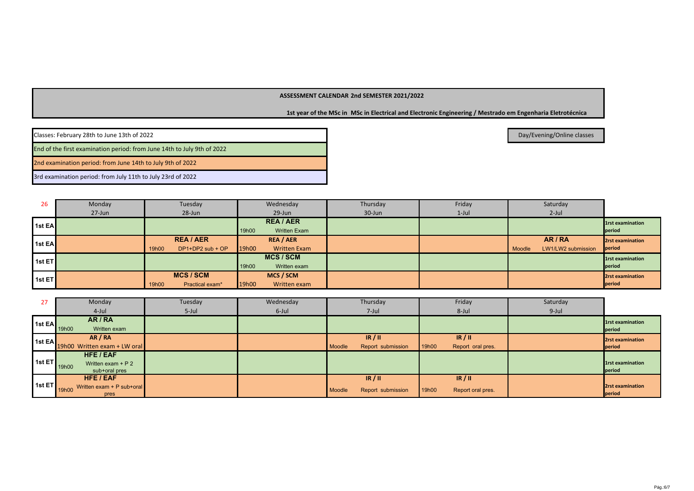**1st year of the MSc in MSc in Electrical and Electronic Engineering / Mestrado em Engenharia Eletrotécnica**

Day/Evening/Online classes

Classes: February 28th to June 13th of 2022

End of the first examination period: from June 14th to July 9th of 2022

2nd examination period: from June 14th to July 9th of 2022

3rd examination period: from July 11th to July 23rd of 2022

| 26                        | Monday | Tuesday                                     | Wednesday                                        | Thursday | Friday   | Saturday                              |                                   |
|---------------------------|--------|---------------------------------------------|--------------------------------------------------|----------|----------|---------------------------------------|-----------------------------------|
|                           | 27-Jun | 28-Jun                                      | 29-Jun                                           | 30-Jun   | $1$ -Jul | $2$ -Jul                              |                                   |
| <b>11st EAI</b>           |        |                                             | <b>REA/AER</b><br><b>Written Exam</b><br>19h00   |          |          |                                       | <b>1rst examination</b><br>period |
| <b>1st EA</b>             |        | <b>REA/AER</b><br>DP1+DP2 sub + OP<br>19h00 | <b>REA / AER</b><br>19h00<br><b>Written Exam</b> |          |          | AR/RA<br>LW1/LW2 submission<br>Moodle | 2rst examination<br>period        |
| 1stE                      |        |                                             | <b>MCS/SCM</b><br>19h00<br>Written exam          |          |          |                                       | 1rst examination<br>period        |
| $1$ 1st ET $\overline{ }$ |        | <b>MCS/SCM</b><br>Practical exam*<br>19h00  | MCS / SCM<br>19h00<br>Written exam               |          |          |                                       | 2rst examination<br>period        |

| 27                     | Monday                             | Tuesday  | Wednesday | Thursday                    | Friday                     | Saturday |                         |
|------------------------|------------------------------------|----------|-----------|-----------------------------|----------------------------|----------|-------------------------|
|                        | 4-Jul                              | $5$ -Jul | 6-Jul     | 7-Jul                       | 8-Jul                      | 9-Jul    |                         |
|                        | AR / RA                            |          |           |                             |                            |          | 1rst examination        |
|                        | 1st EA 19h00<br>Written exam       |          |           |                             |                            |          | period                  |
| $\vert$ 1st EA $\vert$ | AR / RA                            |          |           | IR/II                       | IR/II                      |          | <b>2rst examination</b> |
|                        | 19h00 Written exam + LW oral       |          |           | Report submission<br>Moodle | 19h00<br>Report oral pres. |          | period                  |
|                        | HFE / EAF                          |          |           |                             |                            |          |                         |
| 1st ET                 | Written exam + $P$ 2<br>19h00      |          |           |                             |                            |          | 1rst examination        |
|                        | sub+oral pres                      |          |           |                             |                            |          | period                  |
|                        | HFE / EAF                          |          |           | IR/II                       | IR/II                      |          |                         |
| 1stET                  | Written exam + P sub+oral<br>19h00 |          |           | Report submission<br>Moodle | 19h00<br>Report oral pres. |          | 2rst examination        |
|                        | pres                               |          |           |                             |                            |          | period                  |